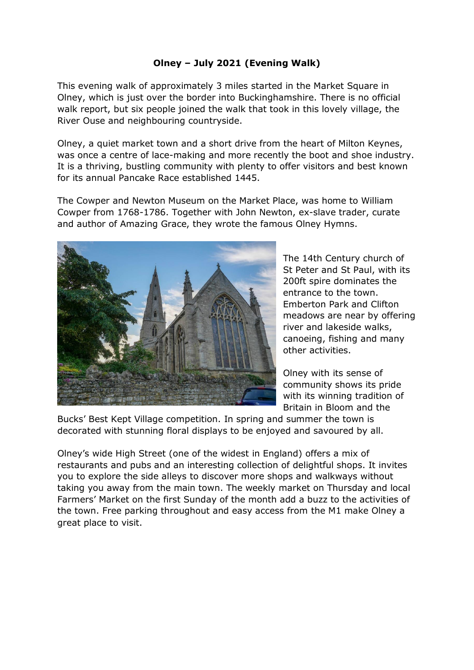## **Olney – July 2021 (Evening Walk)**

This evening walk of approximately 3 miles started in the Market Square in Olney, which is just over the border into Buckinghamshire. There is no official walk report, but six people joined the walk that took in this lovely village, the River Ouse and neighbouring countryside.

Olney, a quiet market town and a short drive from the heart of Milton Keynes, was once a centre of lace-making and more recently the boot and shoe industry. It is a thriving, bustling community with plenty to offer visitors and best known for its annual Pancake Race established 1445.

The Cowper and Newton Museum on the Market Place, was home to William Cowper from 1768-1786. Together with John Newton, ex-slave trader, curate and author of Amazing Grace, they wrote the famous Olney Hymns.



The 14th Century church of St Peter and St Paul, with its 200ft spire dominates the entrance to the town. Emberton Park and Clifton meadows are near by offering river and lakeside walks, canoeing, fishing and many other activities.

Olney with its sense of community shows its pride with its winning tradition of Britain in Bloom and the

Bucks' Best Kept Village competition. In spring and summer the town is decorated with stunning floral displays to be enjoyed and savoured by all.

Olney's wide High Street (one of the widest in England) offers a mix of restaurants and pubs and an interesting collection of delightful shops. It invites you to explore the side alleys to discover more shops and walkways without taking you away from the main town. The weekly market on Thursday and local Farmers' Market on the first Sunday of the month add a buzz to the activities of the town. Free parking throughout and easy access from the M1 make Olney a great place to visit.